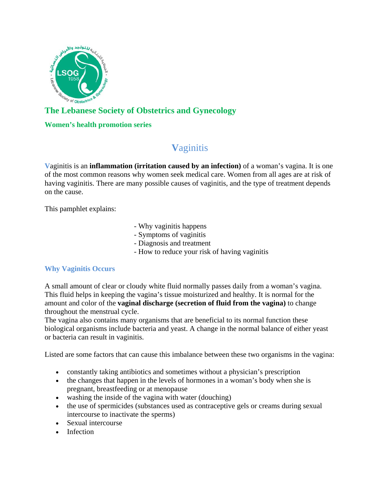

# **The Lebanese Society of Obstetrics and Gynecology**

# **Women's health promotion series**

# **V**aginitis

**V**aginitis is an **inflammation (irritation caused by an infection)** of a woman's vagina. It is one of the most common reasons why women seek medical care. Women from all ages are at risk of having vaginitis. There are many possible causes of vaginitis, and the type of treatment depends on the cause.

This pamphlet explains:

- Why vaginitis happens
- Symptoms of vaginitis
- Diagnosis and treatment
- How to reduce your risk of having vaginitis

# **Why Vaginitis Occurs**

A small amount of clear or cloudy white fluid normally passes daily from a woman's vagina. This fluid helps in keeping the vagina's tissue moisturized and healthy. It is normal for the amount and color of the **vaginal discharge (secretion of fluid from the vagina)** to change throughout the menstrual cycle.

The vagina also contains many organisms that are beneficial to its normal function these biological organisms include bacteria and yeast. A change in the normal balance of either yeast or bacteria can result in vaginitis.

Listed are some factors that can cause this imbalance between these two organisms in the vagina:

- constantly taking antibiotics and sometimes without a physician's prescription
- the changes that happen in the levels of hormones in a woman's body when she is pregnant, breastfeeding or at menopause
- washing the inside of the vagina with water (douching)
- the use of spermicides (substances used as contraceptive gels or creams during sexual intercourse to inactivate the sperms)
- Sexual intercourse
- Infection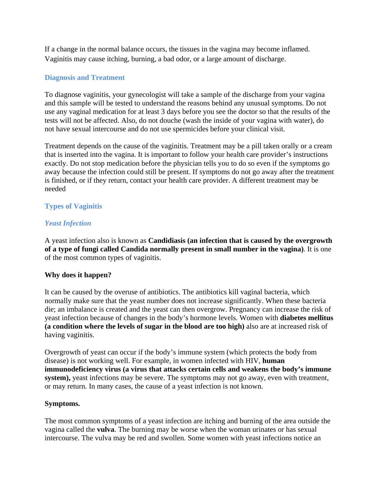If a change in the normal balance occurs, the tissues in the vagina may become inflamed. Vaginitis may cause itching, burning, a bad odor, or a large amount of discharge.

# **Diagnosis and Treatment**

To diagnose vaginitis, your gynecologist will take a sample of the discharge from your vagina and this sample will be tested to understand the reasons behind any unusual symptoms. Do not use any vaginal medication for at least 3 days before you see the doctor so that the results of the tests will not be affected. Also, do not douche (wash the inside of your vagina with water), do not have sexual intercourse and do not use spermicides before your clinical visit.

Treatment depends on the cause of the vaginitis. Treatment may be a pill taken orally or a cream that is inserted into the vagina. It is important to follow your health care provider's instructions exactly. Do not stop medication before the physician tells you to do so even if the symptoms go away because the infection could still be present. If symptoms do not go away after the treatment is finished, or if they return, contact your health care provider. A different treatment may be needed

# **Types of Vaginitis**

# *Yeast Infection*

A yeast infection also is known as **Candidiasis (an infection that is caused by the overgrowth of a type of fungi called Candida normally present in small number in the vagina)**. It is one of the most common types of vaginitis.

# **Why does it happen?**

It can be caused by the overuse of antibiotics. The antibiotics kill vaginal bacteria, which normally make sure that the yeast number does not increase significantly. When these bacteria die; an imbalance is created and the yeast can then overgrow. Pregnancy can increase the risk of yeast infection because of changes in the body's hormone levels. Women with **diabetes mellitus (a condition where the levels of sugar in the blood are too high)** also are at increased risk of having vaginitis.

Overgrowth of yeast can occur if the body's immune system (which protects the body from disease) is not working well. For example, in women infected with HIV, **human immunodeficiency virus (a virus that attacks certain cells and weakens the body's immune system),** yeast infections may be severe. The symptoms may not go away, even with treatment, or may return. In many cases, the cause of a yeast infection is not known.

#### **Symptoms.**

The most common symptoms of a yeast infection are itching and burning of the area outside the vagina called the **vulva**. The burning may be worse when the woman urinates or has sexual intercourse. The vulva may be red and swollen. Some women with yeast infections notice an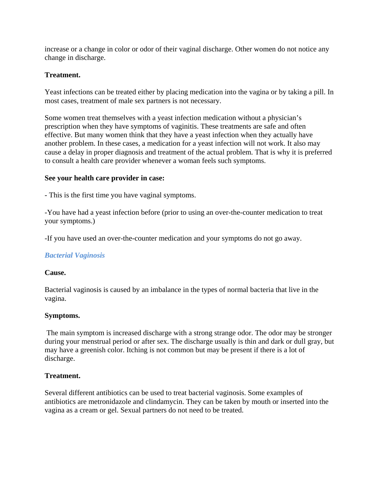increase or a change in color or odor of their vaginal discharge. Other women do not notice any change in discharge.

# **Treatment.**

Yeast infections can be treated either by placing medication into the vagina or by taking a pill. In most cases, treatment of male sex partners is not necessary.

Some women treat themselves with a yeast infection medication without a physician's prescription when they have symptoms of vaginitis. These treatments are safe and often effective. But many women think that they have a yeast infection when they actually have another problem. In these cases, a medication for a yeast infection will not work. It also may cause a delay in proper diagnosis and treatment of the actual problem. That is why it is preferred to consult a health care provider whenever a woman feels such symptoms.

#### **See your health care provider in case:**

- This is the first time you have vaginal symptoms.

-You have had a yeast infection before (prior to using an over-the-counter medication to treat your symptoms.)

-If you have used an over-the-counter medication and your symptoms do not go away.

#### *Bacterial Vaginosis*

#### **Cause.**

Bacterial vaginosis is caused by an imbalance in the types of normal bacteria that live in the vagina.

#### **Symptoms.**

 The main symptom is increased discharge with a strong strange odor. The odor may be stronger during your menstrual period or after sex. The discharge usually is thin and dark or dull gray, but may have a greenish color. Itching is not common but may be present if there is a lot of discharge.

#### **Treatment.**

Several different antibiotics can be used to treat bacterial vaginosis. Some examples of antibiotics are metronidazole and clindamycin. They can be taken by mouth or inserted into the vagina as a cream or gel. Sexual partners do not need to be treated.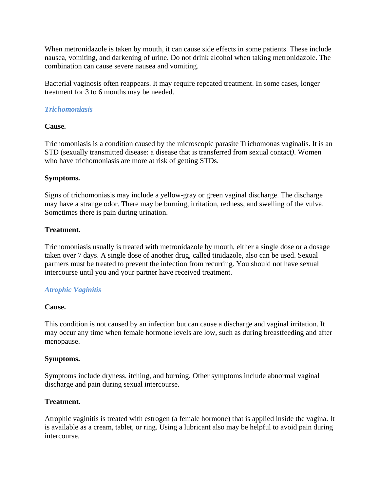When metronidazole is taken by mouth, it can cause side effects in some patients. These include nausea, vomiting, and darkening of urine. Do not drink alcohol when taking metronidazole. The combination can cause severe nausea and vomiting.

Bacterial vaginosis often reappears. It may require repeated treatment. In some cases, longer treatment for 3 to 6 months may be needed.

# *Trichomoniasis*

# **Cause.**

Trichomoniasis is a condition caused by the microscopic parasite Trichomonas vaginalis. It is an STD (sexually transmitted disease: a disease that is transferred from sexual contact*)*. Women who have trichomoniasis are more at risk of getting STDs.

# **Symptoms.**

Signs of trichomoniasis may include a yellow-gray or green vaginal discharge. The discharge may have a strange odor. There may be burning, irritation, redness, and swelling of the vulva. Sometimes there is pain during urination.

# **Treatment.**

Trichomoniasis usually is treated with metronidazole by mouth, either a single dose or a dosage taken over 7 days. A single dose of another drug, called tinidazole, also can be used. Sexual partners must be treated to prevent the infection from recurring. You should not have sexual intercourse until you and your partner have received treatment.

# *Atrophic Vaginitis*

#### **Cause.**

This condition is not caused by an infection but can cause a discharge and vaginal irritation. It may occur any time when female hormone levels are low, such as during breastfeeding and after menopause.

#### **Symptoms.**

Symptoms include dryness, itching, and burning. Other symptoms include abnormal vaginal discharge and pain during sexual intercourse.

#### **Treatment.**

Atrophic vaginitis is treated with estrogen (a female hormone) that is applied inside the vagina. It is available as a cream, tablet, or ring. Using a lubricant also may be helpful to avoid pain during intercourse.